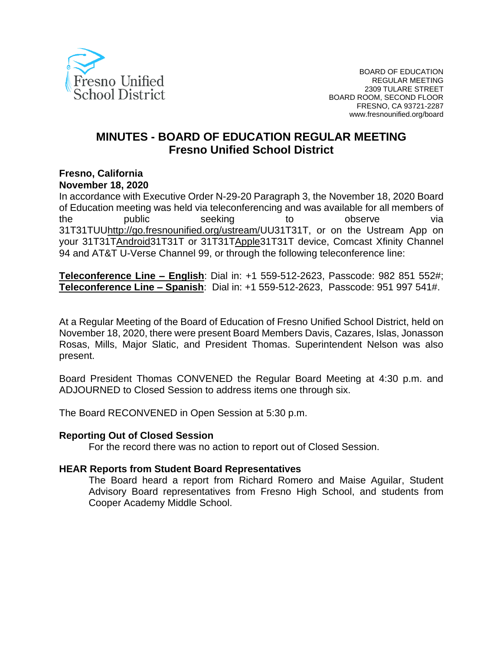

# **MINUTES - BOARD OF EDUCATION REGULAR MEETING Fresno Unified School District**

#### **Fresno, California November 18, 2020**

In accordance with Executive Order N-29-20 Paragraph 3, the November 18, 2020 Board of Education meeting was held via teleconferencing and was available for all members of the public seeking to observe via 31[T31TUUhttp://go.fresnounified.org/ustream/U](http://go.fresnounified.org/ustream/)U31T31T, or on the Ustream App on your 31[T31TAndroid3](https://play.google.com/store/apps/details?id=tv.ustream.ustream&hl=en_US)1T31T or 31[T31TApple3](https://itunes.apple.com/us/app/ustream/id301520250?mt=8)1T31T device, Comcast Xfinity Channel 94 and AT&T U-Verse Channel 99, or through the following teleconference line:

**Teleconference Line – English**: Dial in: +1 559-512-2623, Passcode: 982 851 552#; **Teleconference Line – Spanish**: Dial in: +1 559-512-2623, Passcode: 951 997 541#.

At a Regular Meeting of the Board of Education of Fresno Unified School District, held on November 18, 2020, there were present Board Members Davis, Cazares, Islas, Jonasson Rosas, Mills, Major Slatic, and President Thomas. Superintendent Nelson was also present.

Board President Thomas CONVENED the Regular Board Meeting at 4:30 p.m. and ADJOURNED to Closed Session to address items one through six.

The Board RECONVENED in Open Session at 5:30 p.m.

#### **Reporting Out of Closed Session**

For the record there was no action to report out of Closed Session.

#### **HEAR Reports from Student Board Representatives**

The Board heard a report from Richard Romero and Maise Aguilar, Student Advisory Board representatives from Fresno High School, and students from Cooper Academy Middle School.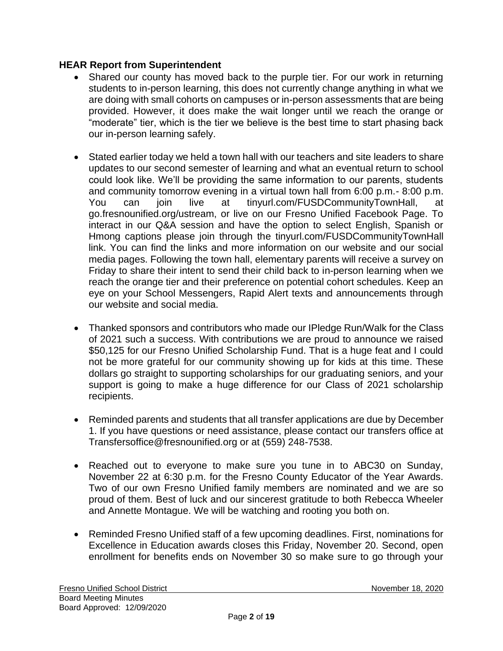# **HEAR Report from Superintendent**

- Shared our county has moved back to the purple tier. For our work in returning students to in-person learning, this does not currently change anything in what we are doing with small cohorts on campuses or in-person assessments that are being provided. However, it does make the wait longer until we reach the orange or "moderate" tier, which is the tier we believe is the best time to start phasing back our in-person learning safely.
- Stated earlier today we held a town hall with our teachers and site leaders to share updates to our second semester of learning and what an eventual return to school could look like. We'll be providing the same information to our parents, students and community tomorrow evening in a virtual town hall from 6:00 p.m.- 8:00 p.m. You can join live at tinyurl.com/FUSDCommunityTownHall, at go.fresnounified.org/ustream, or live on our Fresno Unified Facebook Page. To interact in our Q&A session and have the option to select English, Spanish or Hmong captions please join through the tinyurl.com/FUSDCommunityTownHall link. You can find the links and more information on our website and our social media pages. Following the town hall, elementary parents will receive a survey on Friday to share their intent to send their child back to in-person learning when we reach the orange tier and their preference on potential cohort schedules. Keep an eye on your School Messengers, Rapid Alert texts and announcements through our website and social media.
- Thanked sponsors and contributors who made our IPledge Run/Walk for the Class of 2021 such a success. With contributions we are proud to announce we raised \$50,125 for our Fresno Unified Scholarship Fund. That is a huge feat and I could not be more grateful for our community showing up for kids at this time. These dollars go straight to supporting scholarships for our graduating seniors, and your support is going to make a huge difference for our Class of 2021 scholarship recipients.
- Reminded parents and students that all transfer applications are due by December 1. If you have questions or need assistance, please contact our transfers office at Transfersoffice@fresnounified.org or at (559) 248-7538.
- Reached out to everyone to make sure you tune in to ABC30 on Sunday, November 22 at 6:30 p.m. for the Fresno County Educator of the Year Awards. Two of our own Fresno Unified family members are nominated and we are so proud of them. Best of luck and our sincerest gratitude to both Rebecca Wheeler and Annette Montague. We will be watching and rooting you both on.
- Reminded Fresno Unified staff of a few upcoming deadlines. First, nominations for Excellence in Education awards closes this Friday, November 20. Second, open enrollment for benefits ends on November 30 so make sure to go through your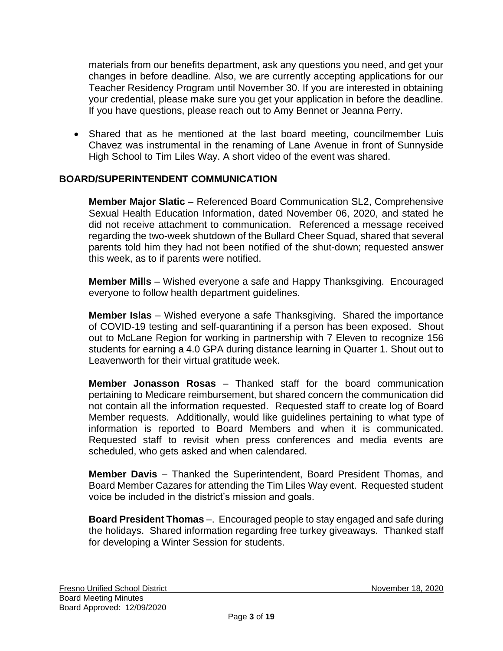materials from our benefits department, ask any questions you need, and get your changes in before deadline. Also, we are currently accepting applications for our Teacher Residency Program until November 30. If you are interested in obtaining your credential, please make sure you get your application in before the deadline. If you have questions, please reach out to Amy Bennet or Jeanna Perry.

• Shared that as he mentioned at the last board meeting, councilmember Luis Chavez was instrumental in the renaming of Lane Avenue in front of Sunnyside High School to Tim Liles Way. A short video of the event was shared.

## **BOARD/SUPERINTENDENT COMMUNICATION**

**Member Major Slatic** – Referenced Board Communication SL2, Comprehensive Sexual Health Education Information, dated November 06, 2020, and stated he did not receive attachment to communication. Referenced a message received regarding the two-week shutdown of the Bullard Cheer Squad, shared that several parents told him they had not been notified of the shut-down; requested answer this week, as to if parents were notified.

**Member Mills** – Wished everyone a safe and Happy Thanksgiving. Encouraged everyone to follow health department guidelines.

**Member Islas** – Wished everyone a safe Thanksgiving. Shared the importance of COVID-19 testing and self-quarantining if a person has been exposed. Shout out to McLane Region for working in partnership with 7 Eleven to recognize 156 students for earning a 4.0 GPA during distance learning in Quarter 1. Shout out to Leavenworth for their virtual gratitude week.

**Member Jonasson Rosas** – Thanked staff for the board communication pertaining to Medicare reimbursement, but shared concern the communication did not contain all the information requested. Requested staff to create log of Board Member requests. Additionally, would like guidelines pertaining to what type of information is reported to Board Members and when it is communicated. Requested staff to revisit when press conferences and media events are scheduled, who gets asked and when calendared.

**Member Davis** – Thanked the Superintendent, Board President Thomas, and Board Member Cazares for attending the Tim Liles Way event. Requested student voice be included in the district's mission and goals.

**Board President Thomas** –. Encouraged people to stay engaged and safe during the holidays. Shared information regarding free turkey giveaways. Thanked staff for developing a Winter Session for students.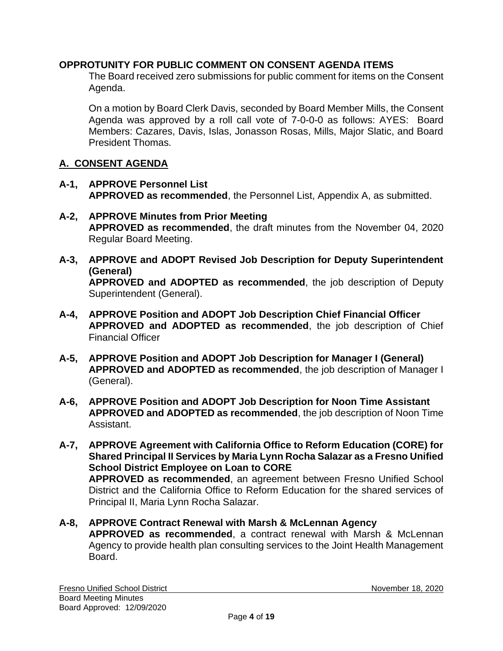# **OPPROTUNITY FOR PUBLIC COMMENT ON CONSENT AGENDA ITEMS**

The Board received zero submissions for public comment for items on the Consent Agenda.

On a motion by Board Clerk Davis, seconded by Board Member Mills, the Consent Agenda was approved by a roll call vote of 7-0-0-0 as follows: AYES: Board Members: Cazares, Davis, Islas, Jonasson Rosas, Mills, Major Slatic, and Board President Thomas.

## **A. CONSENT AGENDA**

- **A-1, APPROVE Personnel List APPROVED as recommended**, the Personnel List, Appendix A, as submitted.
- **A-2, APPROVE Minutes from Prior Meeting APPROVED as recommended**, the draft minutes from the November 04, 2020 Regular Board Meeting.
- **A-3, APPROVE and ADOPT Revised Job Description for Deputy Superintendent (General) APPROVED and ADOPTED as recommended**, the job description of Deputy Superintendent (General).
- **A-4, APPROVE Position and ADOPT Job Description Chief Financial Officer APPROVED and ADOPTED as recommended**, the job description of Chief Financial Officer
- **A-5, APPROVE Position and ADOPT Job Description for Manager I (General) APPROVED and ADOPTED as recommended**, the job description of Manager I (General).
- **A-6, APPROVE Position and ADOPT Job Description for Noon Time Assistant APPROVED and ADOPTED as recommended**, the job description of Noon Time Assistant.
- **A-7, APPROVE Agreement with California Office to Reform Education (CORE) for Shared Principal II Services by Maria Lynn Rocha Salazar as a Fresno Unified School District Employee on Loan to CORE APPROVED as recommended**, an agreement between Fresno Unified School District and the California Office to Reform Education for the shared services of Principal II, Maria Lynn Rocha Salazar.
- **A-8, APPROVE Contract Renewal with Marsh & McLennan Agency APPROVED as recommended**, a contract renewal with Marsh & McLennan Agency to provide health plan consulting services to the Joint Health Management Board.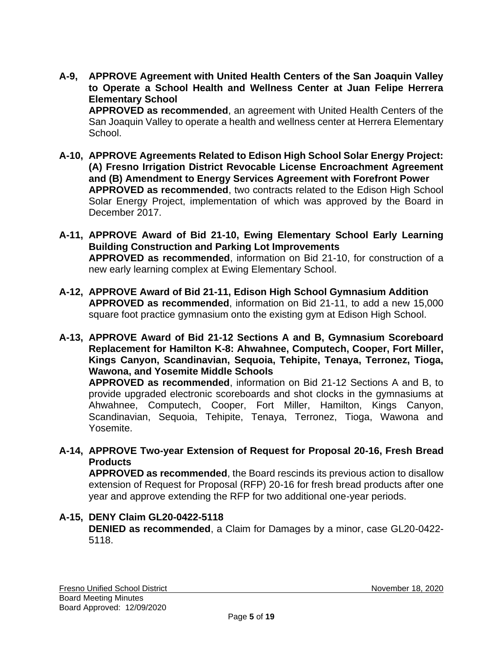**A-9, APPROVE Agreement with United Health Centers of the San Joaquin Valley to Operate a School Health and Wellness Center at Juan Felipe Herrera Elementary School APPROVED as recommended**, an agreement with United Health Centers of the

San Joaquin Valley to operate a health and wellness center at Herrera Elementary School.

- **A-10, APPROVE Agreements Related to Edison High School Solar Energy Project: (A) Fresno Irrigation District Revocable License Encroachment Agreement and (B) Amendment to Energy Services Agreement with Forefront Power APPROVED as recommended**, two contracts related to the Edison High School Solar Energy Project, implementation of which was approved by the Board in December 2017.
- **A-11, APPROVE Award of Bid 21-10, Ewing Elementary School Early Learning Building Construction and Parking Lot Improvements APPROVED as recommended**, information on Bid 21-10, for construction of a new early learning complex at Ewing Elementary School.
- **A-12, APPROVE Award of Bid 21-11, Edison High School Gymnasium Addition APPROVED as recommended**, information on Bid 21-11, to add a new 15,000 square foot practice gymnasium onto the existing gym at Edison High School.
- **A-13, APPROVE Award of Bid 21-12 Sections A and B, Gymnasium Scoreboard Replacement for Hamilton K-8: Ahwahnee, Computech, Cooper, Fort Miller, Kings Canyon, Scandinavian, Sequoia, Tehipite, Tenaya, Terronez, Tioga, Wawona, and Yosemite Middle Schools**

**APPROVED as recommended**, information on Bid 21-12 Sections A and B, to provide upgraded electronic scoreboards and shot clocks in the gymnasiums at Ahwahnee, Computech, Cooper, Fort Miller, Hamilton, Kings Canyon, Scandinavian, Sequoia, Tehipite, Tenaya, Terronez, Tioga, Wawona and Yosemite.

**A-14, APPROVE Two-year Extension of Request for Proposal 20-16, Fresh Bread Products**

**APPROVED as recommended**, the Board rescinds its previous action to disallow extension of Request for Proposal (RFP) 20-16 for fresh bread products after one year and approve extending the RFP for two additional one-year periods.

# **A-15, DENY Claim GL20-0422-5118**

**DENIED as recommended**, a Claim for Damages by a minor, case GL20-0422- 5118.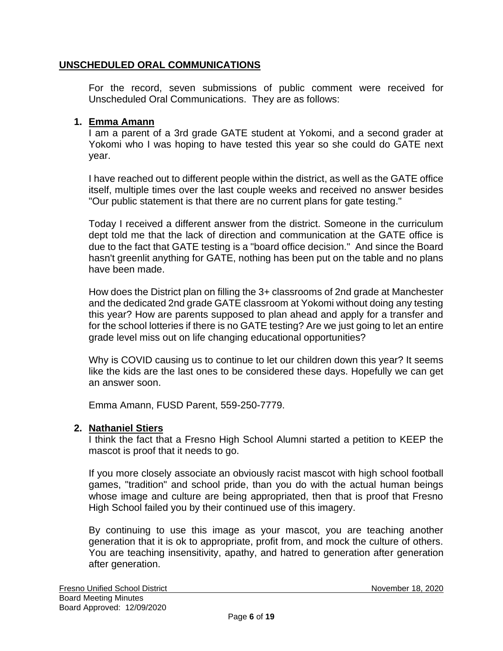## **UNSCHEDULED ORAL COMMUNICATIONS**

For the record, seven submissions of public comment were received for Unscheduled Oral Communications. They are as follows:

### **1. Emma Amann**

I am a parent of a 3rd grade GATE student at Yokomi, and a second grader at Yokomi who I was hoping to have tested this year so she could do GATE next year.

I have reached out to different people within the district, as well as the GATE office itself, multiple times over the last couple weeks and received no answer besides "Our public statement is that there are no current plans for gate testing."

Today I received a different answer from the district. Someone in the curriculum dept told me that the lack of direction and communication at the GATE office is due to the fact that GATE testing is a "board office decision." And since the Board hasn't greenlit anything for GATE, nothing has been put on the table and no plans have been made.

How does the District plan on filling the 3+ classrooms of 2nd grade at Manchester and the dedicated 2nd grade GATE classroom at Yokomi without doing any testing this year? How are parents supposed to plan ahead and apply for a transfer and for the school lotteries if there is no GATE testing? Are we just going to let an entire grade level miss out on life changing educational opportunities?

Why is COVID causing us to continue to let our children down this year? It seems like the kids are the last ones to be considered these days. Hopefully we can get an answer soon.

Emma Amann, FUSD Parent, 559-250-7779.

#### **2. Nathaniel Stiers**

I think the fact that a Fresno High School Alumni started a petition to KEEP the mascot is proof that it needs to go.

If you more closely associate an obviously racist mascot with high school football games, "tradition" and school pride, than you do with the actual human beings whose image and culture are being appropriated, then that is proof that Fresno High School failed you by their continued use of this imagery.

By continuing to use this image as your mascot, you are teaching another generation that it is ok to appropriate, profit from, and mock the culture of others. You are teaching insensitivity, apathy, and hatred to generation after generation after generation.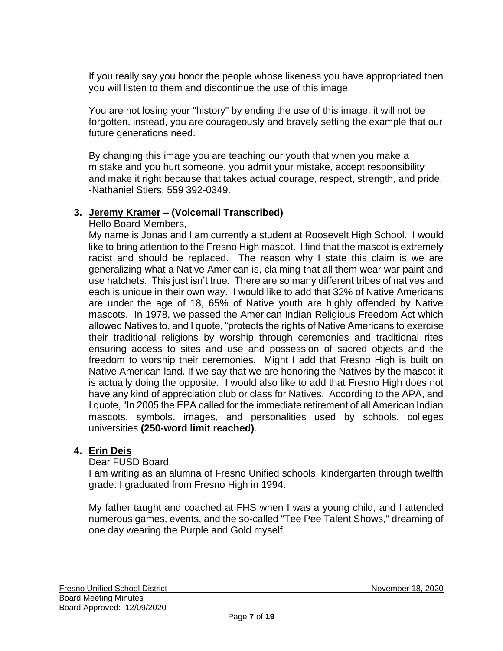If you really say you honor the people whose likeness you have appropriated then you will listen to them and discontinue the use of this image.

You are not losing your "history" by ending the use of this image, it will not be forgotten, instead, you are courageously and bravely setting the example that our future generations need.

By changing this image you are teaching our youth that when you make a mistake and you hurt someone, you admit your mistake, accept responsibility and make it right because that takes actual courage, respect, strength, and pride. -Nathaniel Stiers, 559 392-0349.

## **3. Jeremy Kramer – (Voicemail Transcribed)**

Hello Board Members,

My name is Jonas and I am currently a student at Roosevelt High School. I would like to bring attention to the Fresno High mascot. I find that the mascot is extremely racist and should be replaced. The reason why I state this claim is we are generalizing what a Native American is, claiming that all them wear war paint and use hatchets. This just isn't true. There are so many different tribes of natives and each is unique in their own way. I would like to add that 32% of Native Americans are under the age of 18, 65% of Native youth are highly offended by Native mascots. In 1978, we passed the American Indian Religious Freedom Act which allowed Natives to, and I quote, "protects the rights of Native Americans to exercise their traditional religions by worship through ceremonies and traditional rites ensuring access to sites and use and possession of sacred objects and the freedom to worship their ceremonies. Might I add that Fresno High is built on Native American land. If we say that we are honoring the Natives by the mascot it is actually doing the opposite. I would also like to add that Fresno High does not have any kind of appreciation club or class for Natives. According to the APA, and I quote, "In 2005 the EPA called for the immediate retirement of all American Indian mascots, symbols, images, and personalities used by schools, colleges universities **(250-word limit reached)**.

# **4. Erin Deis**

#### Dear FUSD Board,

I am writing as an alumna of Fresno Unified schools, kindergarten through twelfth grade. I graduated from Fresno High in 1994.

My father taught and coached at FHS when I was a young child, and I attended numerous games, events, and the so-called "Tee Pee Talent Shows," dreaming of one day wearing the Purple and Gold myself.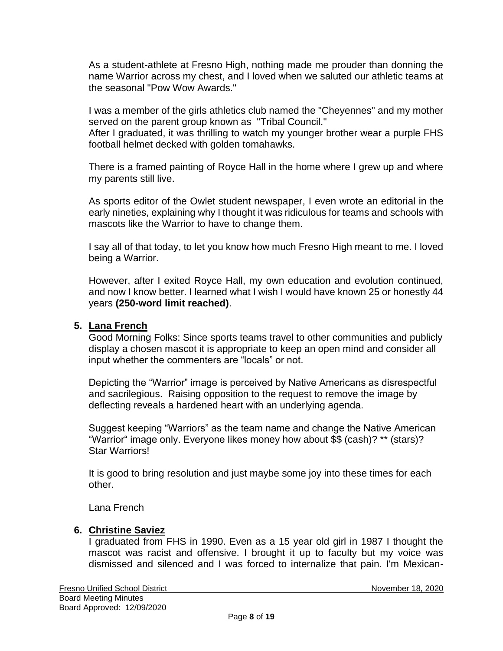As a student-athlete at Fresno High, nothing made me prouder than donning the name Warrior across my chest, and I loved when we saluted our athletic teams at the seasonal "Pow Wow Awards."

I was a member of the girls athletics club named the "Cheyennes" and my mother served on the parent group known as "Tribal Council."

After I graduated, it was thrilling to watch my younger brother wear a purple FHS football helmet decked with golden tomahawks.

There is a framed painting of Royce Hall in the home where I grew up and where my parents still live.

As sports editor of the Owlet student newspaper, I even wrote an editorial in the early nineties, explaining why I thought it was ridiculous for teams and schools with mascots like the Warrior to have to change them.

I say all of that today, to let you know how much Fresno High meant to me. I loved being a Warrior.

However, after I exited Royce Hall, my own education and evolution continued, and now I know better. I learned what I wish I would have known 25 or honestly 44 years **(250-word limit reached)**.

#### **5. Lana French**

Good Morning Folks: Since sports teams travel to other communities and publicly display a chosen mascot it is appropriate to keep an open mind and consider all input whether the commenters are "locals" or not.

Depicting the "Warrior" image is perceived by Native Americans as disrespectful and sacrilegious. Raising opposition to the request to remove the image by deflecting reveals a hardened heart with an underlying agenda.

Suggest keeping "Warriors" as the team name and change the Native American "Warrior" image only. Everyone likes money how about \$\$ (cash)? \*\* (stars)? Star Warriors!

It is good to bring resolution and just maybe some joy into these times for each other.

Lana French

#### **6. Christine Saviez**

I graduated from FHS in 1990. Even as a 15 year old girl in 1987 I thought the mascot was racist and offensive. I brought it up to faculty but my voice was dismissed and silenced and I was forced to internalize that pain. I'm Mexican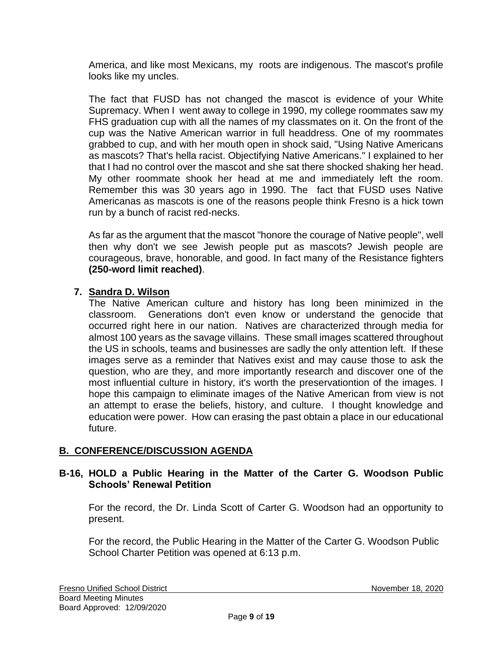America, and like most Mexicans, my roots are indigenous. The mascot's profile looks like my uncles.

The fact that FUSD has not changed the mascot is evidence of your White Supremacy. When I went away to college in 1990, my college roommates saw my FHS graduation cup with all the names of my classmates on it. On the front of the cup was the Native American warrior in full headdress. One of my roommates grabbed to cup, and with her mouth open in shock said, "Using Native Americans as mascots? That's hella racist. Objectifying Native Americans." I explained to her that I had no control over the mascot and she sat there shocked shaking her head. My other roommate shook her head at me and immediately left the room. Remember this was 30 years ago in 1990. The fact that FUSD uses Native Americanas as mascots is one of the reasons people think Fresno is a hick town run by a bunch of racist red-necks.

As far as the argument that the mascot "honore the courage of Native people", well then why don't we see Jewish people put as mascots? Jewish people are courageous, brave, honorable, and good. In fact many of the Resistance fighters **(250-word limit reached)**.

# **7. Sandra D. Wilson**

The Native American culture and history has long been minimized in the classroom. Generations don't even know or understand the genocide that occurred right here in our nation. Natives are characterized through media for almost 100 years as the savage villains. These small images scattered throughout the US in schools, teams and businesses are sadly the only attention left. If these images serve as a reminder that Natives exist and may cause those to ask the question, who are they, and more importantly research and discover one of the most influential culture in history, it's worth the preservationtion of the images. I hope this campaign to eliminate images of the Native American from view is not an attempt to erase the beliefs, history, and culture. I thought knowledge and education were power. How can erasing the past obtain a place in our educational future.

# **B. CONFERENCE/DISCUSSION AGENDA**

## **B-16, HOLD a Public Hearing in the Matter of the Carter G. Woodson Public Schools' Renewal Petition**

For the record, the Dr. Linda Scott of Carter G. Woodson had an opportunity to present.

For the record, the Public Hearing in the Matter of the Carter G. Woodson Public School Charter Petition was opened at 6:13 p.m.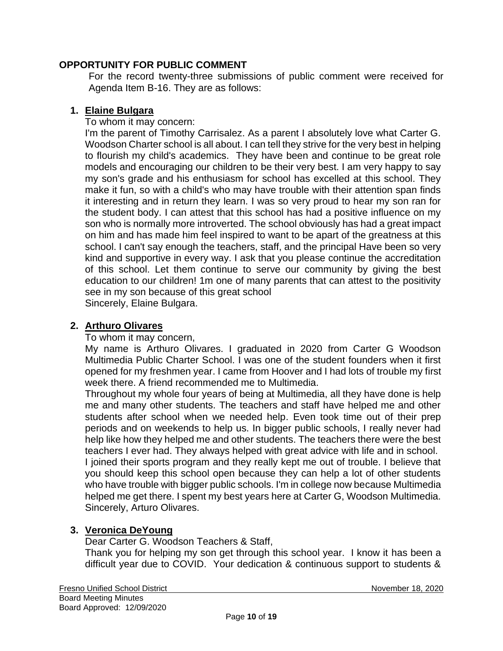## **OPPORTUNITY FOR PUBLIC COMMENT**

For the record twenty-three submissions of public comment were received for Agenda Item B-16. They are as follows:

### **1. Elaine Bulgara**

To whom it may concern:

I'm the parent of Timothy Carrisalez. As a parent I absolutely love what Carter G. Woodson Charter school is all about. I can tell they strive for the very best in helping to flourish my child's academics. They have been and continue to be great role models and encouraging our children to be their very best. I am very happy to say my son's grade and his enthusiasm for school has excelled at this school. They make it fun, so with a child's who may have trouble with their attention span finds it interesting and in return they learn. I was so very proud to hear my son ran for the student body. I can attest that this school has had a positive influence on my son who is normally more introverted. The school obviously has had a great impact on him and has made him feel inspired to want to be apart of the greatness at this school. I can't say enough the teachers, staff, and the principal Have been so very kind and supportive in every way. I ask that you please continue the accreditation of this school. Let them continue to serve our community by giving the best education to our children! 1m one of many parents that can attest to the positivity see in my son because of this great school

Sincerely, Elaine Bulgara.

### **2. Arthuro Olivares**

To whom it may concern,

My name is Arthuro Olivares. I graduated in 2020 from Carter G Woodson Multimedia Public Charter School. I was one of the student founders when it first opened for my freshmen year. I came from Hoover and I had lots of trouble my first week there. A friend recommended me to Multimedia.

Throughout my whole four years of being at Multimedia, all they have done is help me and many other students. The teachers and staff have helped me and other students after school when we needed help. Even took time out of their prep periods and on weekends to help us. In bigger public schools, I really never had help like how they helped me and other students. The teachers there were the best teachers I ever had. They always helped with great advice with life and in school. I joined their sports program and they really kept me out of trouble. I believe that you should keep this school open because they can help a lot of other students who have trouble with bigger public schools. I'm in college now because Multimedia helped me get there. I spent my best years here at Carter G, Woodson Multimedia. Sincerely, Arturo Olivares.

# **3. Veronica DeYoung**

Dear Carter G. Woodson Teachers & Staff, Thank you for helping my son get through this school year. I know it has been a difficult year due to COVID. Your dedication & continuous support to students &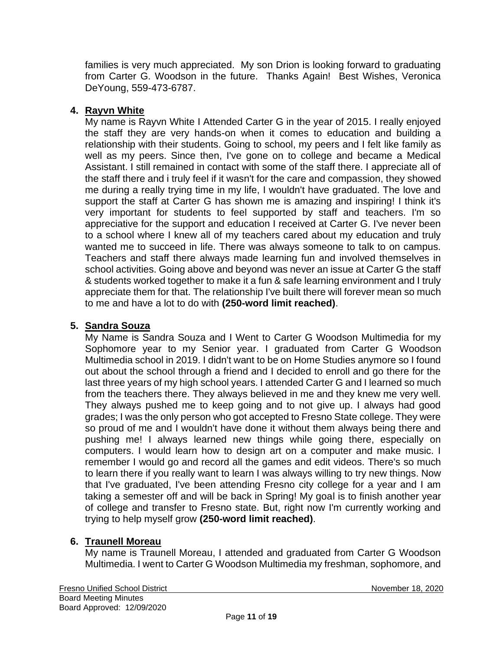families is very much appreciated. My son Drion is looking forward to graduating from Carter G. Woodson in the future. Thanks Again! Best Wishes, Veronica DeYoung, 559-473-6787.

# **4. Rayvn White**

My name is Rayvn White I Attended Carter G in the year of 2015. I really enjoyed the staff they are very hands-on when it comes to education and building a relationship with their students. Going to school, my peers and I felt like family as well as my peers. Since then, I've gone on to college and became a Medical Assistant. I still remained in contact with some of the staff there. I appreciate all of the staff there and i truly feel if it wasn't for the care and compassion, they showed me during a really trying time in my life, I wouldn't have graduated. The love and support the staff at Carter G has shown me is amazing and inspiring! I think it's very important for students to feel supported by staff and teachers. I'm so appreciative for the support and education I received at Carter G. I've never been to a school where I knew all of my teachers cared about my education and truly wanted me to succeed in life. There was always someone to talk to on campus. Teachers and staff there always made learning fun and involved themselves in school activities. Going above and beyond was never an issue at Carter G the staff & students worked together to make it a fun & safe learning environment and I truly appreciate them for that. The relationship I've built there will forever mean so much to me and have a lot to do with **(250-word limit reached)**.

# **5. Sandra Souza**

My Name is Sandra Souza and I Went to Carter G Woodson Multimedia for my Sophomore year to my Senior year. I graduated from Carter G Woodson Multimedia school in 2019. I didn't want to be on Home Studies anymore so I found out about the school through a friend and I decided to enroll and go there for the last three years of my high school years. I attended Carter G and I learned so much from the teachers there. They always believed in me and they knew me very well. They always pushed me to keep going and to not give up. I always had good grades; I was the only person who got accepted to Fresno State college. They were so proud of me and I wouldn't have done it without them always being there and pushing me! I always learned new things while going there, especially on computers. I would learn how to design art on a computer and make music. I remember I would go and record all the games and edit videos. There's so much to learn there if you really want to learn I was always willing to try new things. Now that I've graduated, I've been attending Fresno city college for a year and I am taking a semester off and will be back in Spring! My goal is to finish another year of college and transfer to Fresno state. But, right now I'm currently working and trying to help myself grow **(250-word limit reached)**.

# **6. Traunell Moreau**

My name is Traunell Moreau, I attended and graduated from Carter G Woodson Multimedia. I went to Carter G Woodson Multimedia my freshman, sophomore, and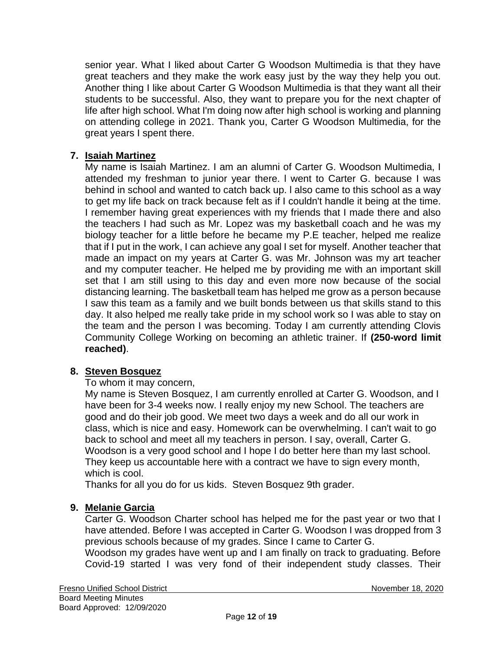senior year. What I liked about Carter G Woodson Multimedia is that they have great teachers and they make the work easy just by the way they help you out. Another thing I like about Carter G Woodson Multimedia is that they want all their students to be successful. Also, they want to prepare you for the next chapter of life after high school. What I'm doing now after high school is working and planning on attending college in 2021. Thank you, Carter G Woodson Multimedia, for the great years I spent there.

# **7. Isaiah Martinez**

My name is Isaiah Martinez. I am an alumni of Carter G. Woodson Multimedia, I attended my freshman to junior year there. l went to Carter G. because I was behind in school and wanted to catch back up. l also came to this school as a way to get my life back on track because felt as if I couldn't handle it being at the time. I remember having great experiences with my friends that I made there and also the teachers I had such as Mr. Lopez was my basketball coach and he was my biology teacher for a little before he became my P.E teacher, helped me realize that if I put in the work, I can achieve any goal I set for myself. Another teacher that made an impact on my years at Carter G. was Mr. Johnson was my art teacher and my computer teacher. He helped me by providing me with an important skill set that I am still using to this day and even more now because of the social distancing learning. The basketball team has helped me grow as a person because I saw this team as a family and we built bonds between us that skills stand to this day. It also helped me really take pride in my school work so I was able to stay on the team and the person I was becoming. Today I am currently attending Clovis Community College Working on becoming an athletic trainer. If **(250-word limit reached)**.

# **8. Steven Bosquez**

#### To whom it may concern,

My name is Steven Bosquez, I am currently enrolled at Carter G. Woodson, and I have been for 3-4 weeks now. I really enjoy my new School. The teachers are good and do their job good. We meet two days a week and do all our work in class, which is nice and easy. Homework can be overwhelming. I can't wait to go back to school and meet all my teachers in person. I say, overall, Carter G. Woodson is a very good school and I hope I do better here than my last school. They keep us accountable here with a contract we have to sign every month, which is cool.

Thanks for all you do for us kids. Steven Bosquez 9th grader.

# **9. Melanie Garcia**

Carter G. Woodson Charter school has helped me for the past year or two that I have attended. Before I was accepted in Carter G. Woodson I was dropped from 3 previous schools because of my grades. Since I came to Carter G.

Woodson my grades have went up and I am finally on track to graduating. Before Covid-19 started I was very fond of their independent study classes. Their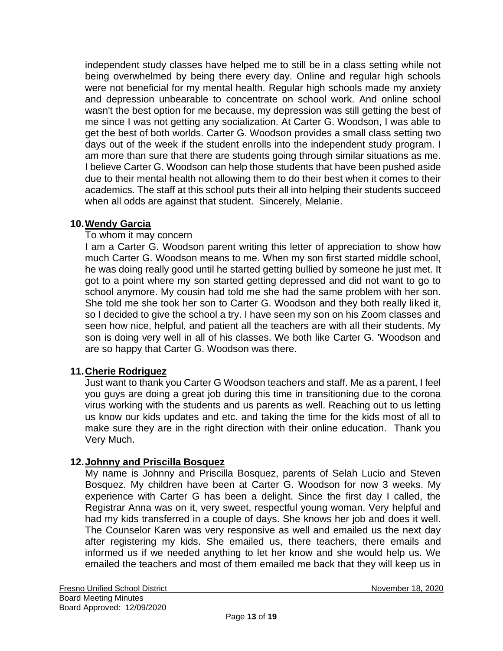independent study classes have helped me to still be in a class setting while not being overwhelmed by being there every day. Online and regular high schools were not beneficial for my mental health. Regular high schools made my anxiety and depression unbearable to concentrate on school work. And online school wasn't the best option for me because, my depression was still getting the best of me since I was not getting any socialization. At Carter G. Woodson, I was able to get the best of both worlds. Carter G. Woodson provides a small class setting two days out of the week if the student enrolls into the independent study program. I am more than sure that there are students going through similar situations as me. I believe Carter G. Woodson can help those students that have been pushed aside due to their mental health not allowing them to do their best when it comes to their academics. The staff at this school puts their all into helping their students succeed when all odds are against that student. Sincerely, Melanie.

## **10.Wendy Garcia**

#### To whom it may concern

I am a Carter G. Woodson parent writing this letter of appreciation to show how much Carter G. Woodson means to me. When my son first started middle school, he was doing really good until he started getting bullied by someone he just met. It got to a point where my son started getting depressed and did not want to go to school anymore. My cousin had told me she had the same problem with her son. She told me she took her son to Carter G. Woodson and they both really liked it, so I decided to give the school a try. I have seen my son on his Zoom classes and seen how nice, helpful, and patient all the teachers are with all their students. My son is doing very well in all of his classes. We both like Carter G. 'Woodson and are so happy that Carter G. Woodson was there.

#### **11.Cherie Rodriguez**

Just want to thank you Carter G Woodson teachers and staff. Me as a parent, I feel you guys are doing a great job during this time in transitioning due to the corona virus working with the students and us parents as well. Reaching out to us letting us know our kids updates and etc. and taking the time for the kids most of all to make sure they are in the right direction with their online education. Thank you Very Much.

#### **12.Johnny and Priscilla Bosquez**

My name is Johnny and Priscilla Bosquez, parents of Selah Lucio and Steven Bosquez. My children have been at Carter G. Woodson for now 3 weeks. My experience with Carter G has been a delight. Since the first day I called, the Registrar Anna was on it, very sweet, respectful young woman. Very helpful and had my kids transferred in a couple of days. She knows her job and does it well. The Counselor Karen was very responsive as well and emailed us the next day after registering my kids. She emailed us, there teachers, there emails and informed us if we needed anything to let her know and she would help us. We emailed the teachers and most of them emailed me back that they will keep us in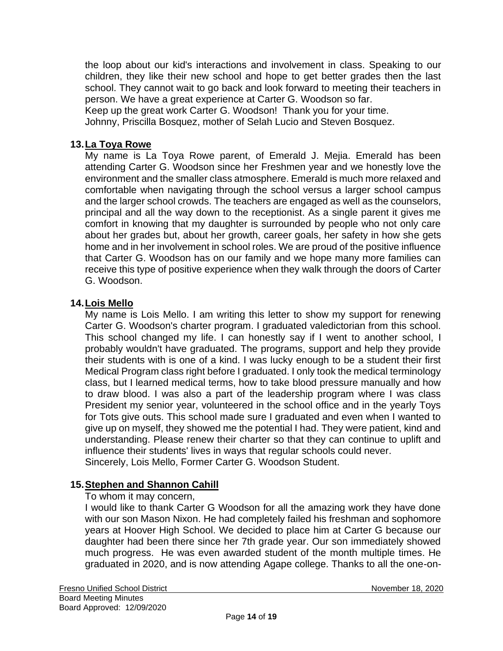the loop about our kid's interactions and involvement in class. Speaking to our children, they like their new school and hope to get better grades then the last school. They cannot wait to go back and look forward to meeting their teachers in person. We have a great experience at Carter G. Woodson so far.

Keep up the great work Carter G. Woodson! Thank you for your time.

Johnny, Priscilla Bosquez, mother of Selah Lucio and Steven Bosquez.

## **13.La Toya Rowe**

My name is La Toya Rowe parent, of Emerald J. Mejia. Emerald has been attending Carter G. Woodson since her Freshmen year and we honestly love the environment and the smaller class atmosphere. Emerald is much more relaxed and comfortable when navigating through the school versus a larger school campus and the larger school crowds. The teachers are engaged as well as the counselors, principal and all the way down to the receptionist. As a single parent it gives me comfort in knowing that my daughter is surrounded by people who not only care about her grades but, about her growth, career goals, her safety in how she gets home and in her involvement in school roles. We are proud of the positive influence that Carter G. Woodson has on our family and we hope many more families can receive this type of positive experience when they walk through the doors of Carter G. Woodson.

#### **14.Lois Mello**

My name is Lois Mello. I am writing this letter to show my support for renewing Carter G. Woodson's charter program. I graduated valedictorian from this school. This school changed my life. I can honestly say if I went to another school, I probably wouldn't have graduated. The programs, support and help they provide their students with is one of a kind. I was lucky enough to be a student their first Medical Program class right before I graduated. I only took the medical terminology class, but I learned medical terms, how to take blood pressure manually and how to draw blood. I was also a part of the leadership program where I was class President my senior year, volunteered in the school office and in the yearly Toys for Tots give outs. This school made sure I graduated and even when I wanted to give up on myself, they showed me the potential I had. They were patient, kind and understanding. Please renew their charter so that they can continue to uplift and influence their students' lives in ways that regular schools could never. Sincerely, Lois Mello, Former Carter G. Woodson Student.

# **15.Stephen and Shannon Cahill**

To whom it may concern,

I would like to thank Carter G Woodson for all the amazing work they have done with our son Mason Nixon. He had completely failed his freshman and sophomore years at Hoover High School. We decided to place him at Carter G because our daughter had been there since her 7th grade year. Our son immediately showed much progress. He was even awarded student of the month multiple times. He graduated in 2020, and is now attending Agape college. Thanks to all the one-on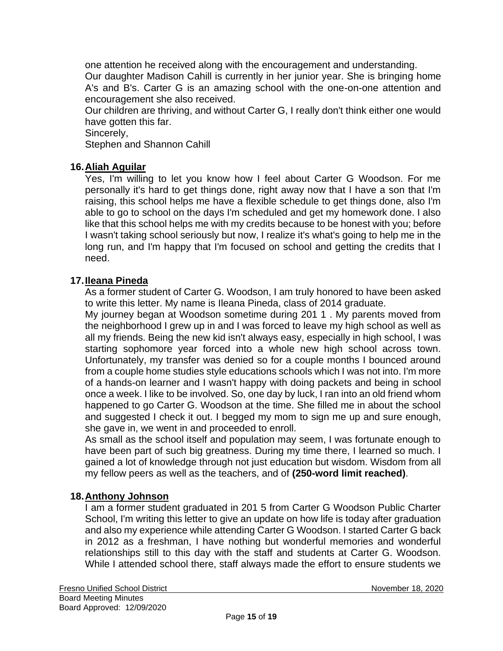one attention he received along with the encouragement and understanding. Our daughter Madison Cahill is currently in her junior year. She is bringing home A's and B's. Carter G is an amazing school with the one-on-one attention and encouragement she also received.

Our children are thriving, and without Carter G, I really don't think either one would have gotten this far.

Sincerely,

Stephen and Shannon Cahill

# **16.Aliah Aguilar**

Yes, I'm willing to let you know how I feel about Carter G Woodson. For me personally it's hard to get things done, right away now that I have a son that I'm raising, this school helps me have a flexible schedule to get things done, also I'm able to go to school on the days I'm scheduled and get my homework done. I also like that this school helps me with my credits because to be honest with you; before I wasn't taking school seriously but now, I realize it's what's going to help me in the long run, and I'm happy that I'm focused on school and getting the credits that I need.

#### **17.Ileana Pineda**

As a former student of Carter G. Woodson, I am truly honored to have been asked to write this letter. My name is Ileana Pineda, class of 2014 graduate.

My journey began at Woodson sometime during 201 1 . My parents moved from the neighborhood I grew up in and I was forced to leave my high school as well as all my friends. Being the new kid isn't always easy, especially in high school, I was starting sophomore year forced into a whole new high school across town. Unfortunately, my transfer was denied so for a couple months I bounced around from a couple home studies style educations schools which I was not into. I'm more of a hands-on learner and I wasn't happy with doing packets and being in school once a week. I like to be involved. So, one day by luck, I ran into an old friend whom happened to go Carter G. Woodson at the time. She filled me in about the school and suggested I check it out. I begged my mom to sign me up and sure enough, she gave in, we went in and proceeded to enroll.

As small as the school itself and population may seem, I was fortunate enough to have been part of such big greatness. During my time there, I learned so much. I gained a lot of knowledge through not just education but wisdom. Wisdom from all my fellow peers as well as the teachers, and of **(250-word limit reached)**.

#### **18.Anthony Johnson**

I am a former student graduated in 201 5 from Carter G Woodson Public Charter School, I'm writing this letter to give an update on how life is today after graduation and also my experience while attending Carter G Woodson. I started Carter G back in 2012 as a freshman, I have nothing but wonderful memories and wonderful relationships still to this day with the staff and students at Carter G. Woodson. While I attended school there, staff always made the effort to ensure students we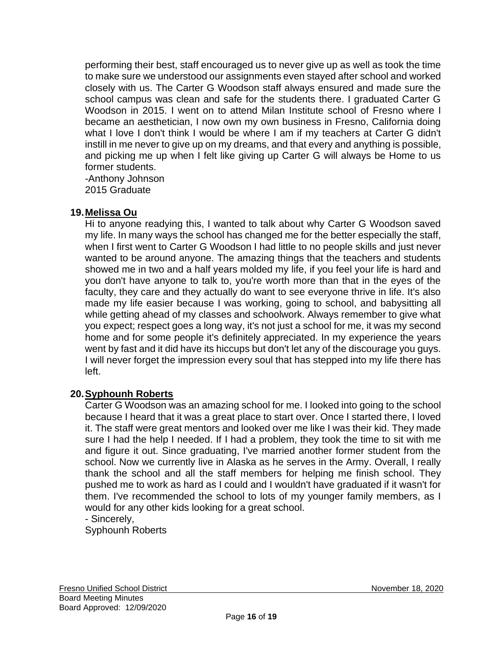performing their best, staff encouraged us to never give up as well as took the time to make sure we understood our assignments even stayed after school and worked closely with us. The Carter G Woodson staff always ensured and made sure the school campus was clean and safe for the students there. I graduated Carter G Woodson in 2015. I went on to attend Milan Institute school of Fresno where I became an aesthetician, I now own my own business in Fresno, California doing what I love I don't think I would be where I am if my teachers at Carter G didn't instill in me never to give up on my dreams, and that every and anything is possible, and picking me up when I felt like giving up Carter G will always be Home to us former students.

-Anthony Johnson 2015 Graduate

# **19.Melissa Ou**

Hi to anyone readying this, I wanted to talk about why Carter G Woodson saved my life. In many ways the school has changed me for the better especially the staff, when I first went to Carter G Woodson I had little to no people skills and just never wanted to be around anyone. The amazing things that the teachers and students showed me in two and a half years molded my life, if you feel your life is hard and you don't have anyone to talk to, you're worth more than that in the eyes of the faculty, they care and they actually do want to see everyone thrive in life. It's also made my life easier because I was working, going to school, and babysitting all while getting ahead of my classes and schoolwork. Always remember to give what you expect; respect goes a long way, it's not just a school for me, it was my second home and for some people it's definitely appreciated. In my experience the years went by fast and it did have its hiccups but don't let any of the discourage you guys. I will never forget the impression every soul that has stepped into my life there has left.

# **20.Syphounh Roberts**

Carter G Woodson was an amazing school for me. I looked into going to the school because I heard that it was a great place to start over. Once I started there, I loved it. The staff were great mentors and looked over me like I was their kid. They made sure I had the help I needed. If I had a problem, they took the time to sit with me and figure it out. Since graduating, I've married another former student from the school. Now we currently live in Alaska as he serves in the Army. Overall, I really thank the school and all the staff members for helping me finish school. They pushed me to work as hard as I could and I wouldn't have graduated if it wasn't for them. I've recommended the school to lots of my younger family members, as I would for any other kids looking for a great school.

- Sincerely,

Syphounh Roberts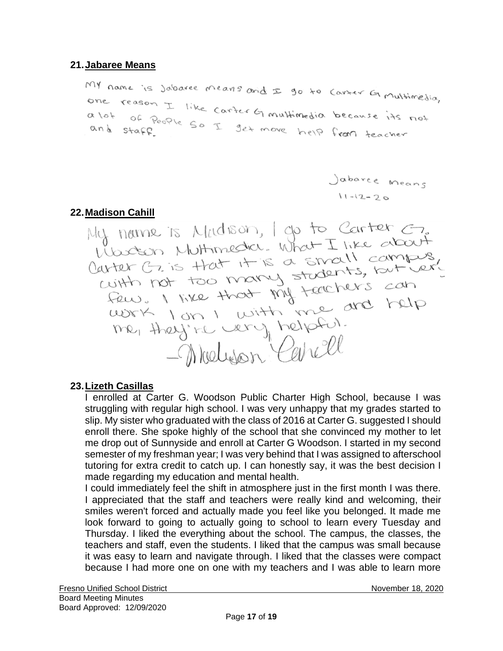## **21.Jabaree Means**

MY name is Jabaree means and I go to Contex G multimedia, one reason I like carter Gimultimedia because its not a lot of People So I get move help from teacher

Jabarce Means  $11 - 12 - 20$ 

22. <u>Madison Cahill</u><br>My name is Madison, I go to Carter C,<br>Woodson Muttimedia. What I like about Wastern Multimedia. What I like about<br>Carter G. is that it is a small campus,<br>with not too many stadents, but lerged<br>few. I like that my teachers can<br>work I on I with me are help<br>me, they're very helpful. me, they're very helpful.

#### **23.Lizeth Casillas**

I enrolled at Carter G. Woodson Public Charter High School, because I was struggling with regular high school. I was very unhappy that my grades started to slip. My sister who graduated with the class of 2016 at Carter G. suggested I should enroll there. She spoke highly of the school that she convinced my mother to let me drop out of Sunnyside and enroll at Carter G Woodson. I started in my second semester of my freshman year; I was very behind that I was assigned to afterschool tutoring for extra credit to catch up. I can honestly say, it was the best decision I made regarding my education and mental health.

I could immediately feel the shift in atmosphere just in the first month I was there. I appreciated that the staff and teachers were really kind and welcoming, their smiles weren't forced and actually made you feel like you belonged. It made me look forward to going to actually going to school to learn every Tuesday and Thursday. I liked the everything about the school. The campus, the classes, the teachers and staff, even the students. I liked that the campus was small because it was easy to learn and navigate through. I liked that the classes were compact because I had more one on one with my teachers and I was able to learn more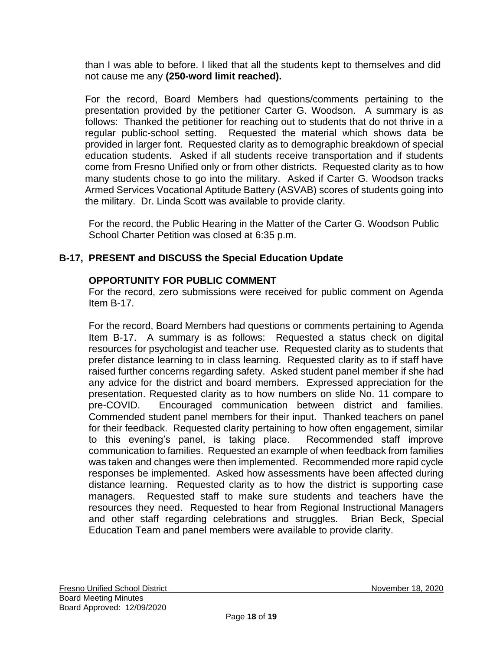than I was able to before. I liked that all the students kept to themselves and did not cause me any **(250-word limit reached).**

For the record, Board Members had questions/comments pertaining to the presentation provided by the petitioner Carter G. Woodson. A summary is as follows: Thanked the petitioner for reaching out to students that do not thrive in a regular public-school setting. Requested the material which shows data be provided in larger font. Requested clarity as to demographic breakdown of special education students. Asked if all students receive transportation and if students come from Fresno Unified only or from other districts. Requested clarity as to how many students chose to go into the military. Asked if Carter G. Woodson tracks Armed Services Vocational Aptitude Battery (ASVAB) scores of students going into the military. Dr. Linda Scott was available to provide clarity.

For the record, the Public Hearing in the Matter of the Carter G. Woodson Public School Charter Petition was closed at 6:35 p.m.

# **B-17, PRESENT and DISCUSS the Special Education Update**

# **OPPORTUNITY FOR PUBLIC COMMENT**

For the record, zero submissions were received for public comment on Agenda Item B-17.

For the record, Board Members had questions or comments pertaining to Agenda Item B-17. A summary is as follows: Requested a status check on digital resources for psychologist and teacher use. Requested clarity as to students that prefer distance learning to in class learning. Requested clarity as to if staff have raised further concerns regarding safety. Asked student panel member if she had any advice for the district and board members. Expressed appreciation for the presentation. Requested clarity as to how numbers on slide No. 11 compare to pre-COVID. Encouraged communication between district and families. Commended student panel members for their input. Thanked teachers on panel for their feedback. Requested clarity pertaining to how often engagement, similar to this evening's panel, is taking place. Recommended staff improve communication to families. Requested an example of when feedback from families was taken and changes were then implemented. Recommended more rapid cycle responses be implemented. Asked how assessments have been affected during distance learning. Requested clarity as to how the district is supporting case managers. Requested staff to make sure students and teachers have the resources they need. Requested to hear from Regional Instructional Managers and other staff regarding celebrations and struggles. Brian Beck, Special Education Team and panel members were available to provide clarity.